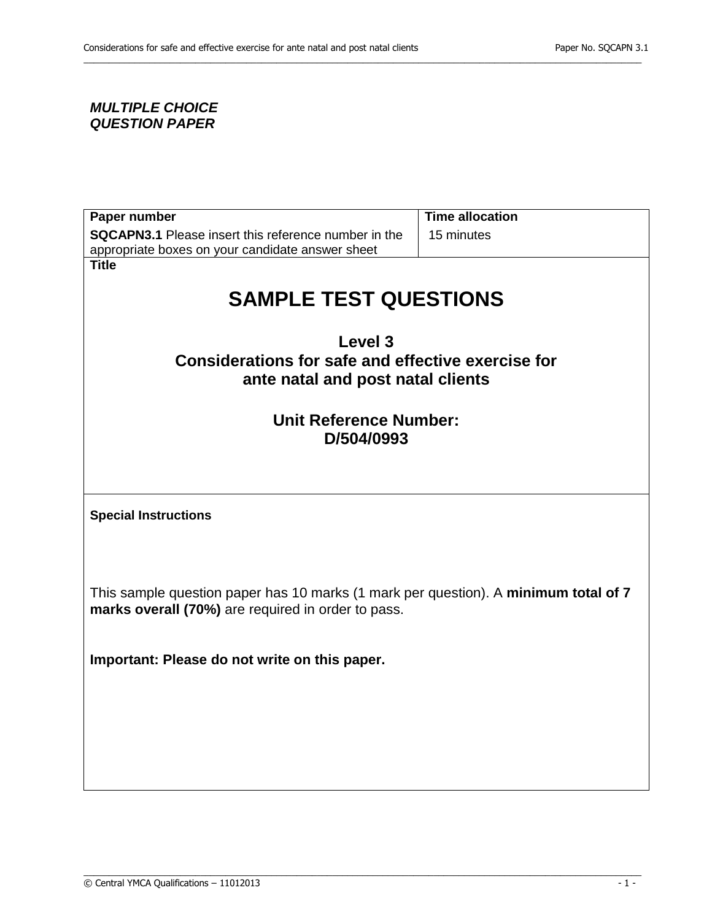## *MULTIPLE CHOICE QUESTION PAPER*

| <b>Time allocation</b>                                                              |  |
|-------------------------------------------------------------------------------------|--|
| 15 minutes                                                                          |  |
|                                                                                     |  |
|                                                                                     |  |
|                                                                                     |  |
| <b>SAMPLE TEST QUESTIONS</b>                                                        |  |
|                                                                                     |  |
| Level 3                                                                             |  |
| Considerations for safe and effective exercise for                                  |  |
| ante natal and post natal clients                                                   |  |
|                                                                                     |  |
| <b>Unit Reference Number:</b>                                                       |  |
|                                                                                     |  |
|                                                                                     |  |
|                                                                                     |  |
|                                                                                     |  |
| <b>Special Instructions</b>                                                         |  |
|                                                                                     |  |
|                                                                                     |  |
|                                                                                     |  |
| This sample question paper has 10 marks (1 mark per question). A minimum total of 7 |  |
|                                                                                     |  |
|                                                                                     |  |
|                                                                                     |  |
|                                                                                     |  |
|                                                                                     |  |
|                                                                                     |  |
|                                                                                     |  |
|                                                                                     |  |

\_\_\_\_\_\_\_\_\_\_\_\_\_\_\_\_\_\_\_\_\_\_\_\_\_\_\_\_\_\_\_\_\_\_\_\_\_\_\_\_\_\_\_\_\_\_\_\_\_\_\_\_\_\_\_\_\_\_\_\_\_\_\_\_\_\_\_\_\_\_\_\_\_\_\_\_\_\_\_\_\_\_\_\_\_\_\_\_\_\_\_\_\_\_\_\_\_\_\_\_\_\_\_\_\_\_\_\_\_\_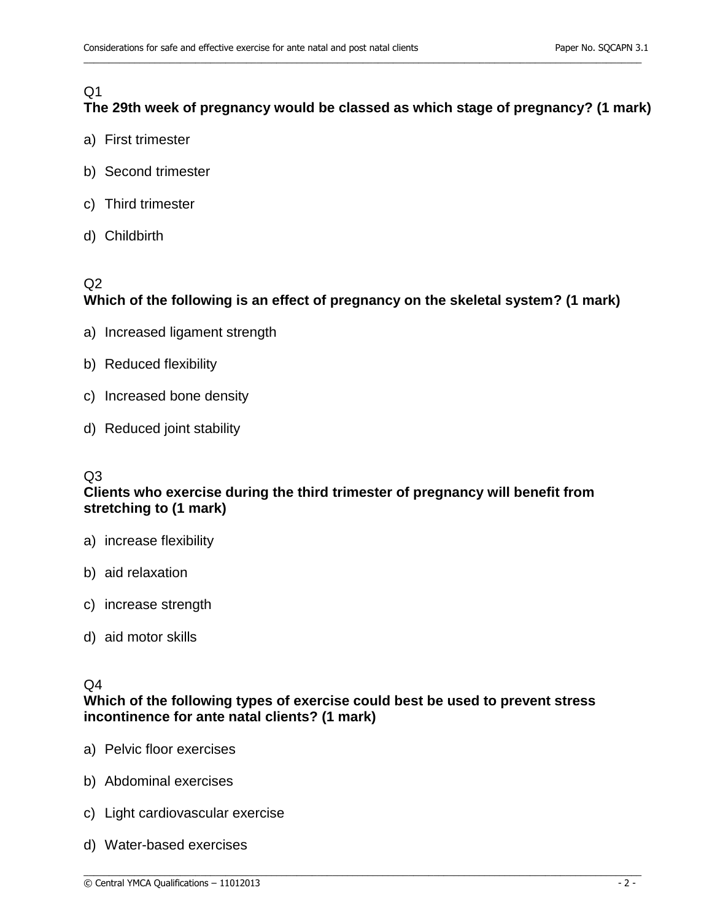# Q1

# **The 29th week of pregnancy would be classed as which stage of pregnancy? (1 mark)**

\_\_\_\_\_\_\_\_\_\_\_\_\_\_\_\_\_\_\_\_\_\_\_\_\_\_\_\_\_\_\_\_\_\_\_\_\_\_\_\_\_\_\_\_\_\_\_\_\_\_\_\_\_\_\_\_\_\_\_\_\_\_\_\_\_\_\_\_\_\_\_\_\_\_\_\_\_\_\_\_\_\_\_\_\_\_\_\_\_\_\_\_\_\_\_\_\_\_\_\_\_\_\_\_\_\_\_\_\_\_

- a) First trimester
- b) Second trimester
- c) Third trimester
- d) Childbirth

## $Q<sub>2</sub>$

## **Which of the following is an effect of pregnancy on the skeletal system? (1 mark)**

- a) Increased ligament strength
- b) Reduced flexibility
- c) Increased bone density
- d) Reduced joint stability

## $O<sub>3</sub>$

## **Clients who exercise during the third trimester of pregnancy will benefit from stretching to (1 mark)**

- a) increase flexibility
- b) aid relaxation
- c) increase strength
- d) aid motor skills

## $Q<sub>4</sub>$

## **Which of the following types of exercise could best be used to prevent stress incontinence for ante natal clients? (1 mark)**

- a) Pelvic floor exercises
- b) Abdominal exercises
- c) Light cardiovascular exercise
- d) Water-based exercises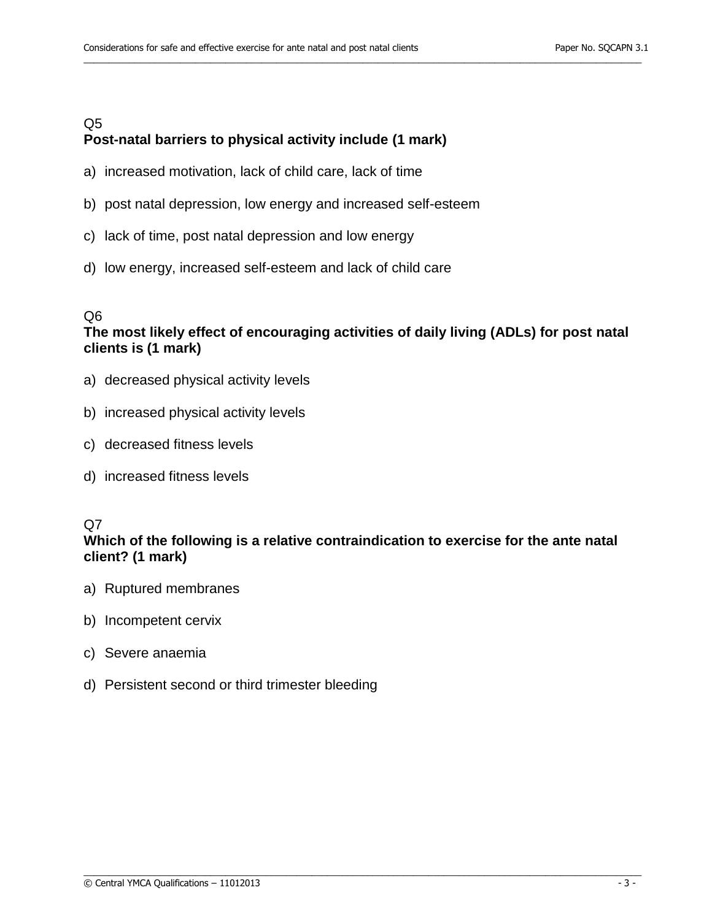### Q5 **Post-natal barriers to physical activity include (1 mark)**

- a) increased motivation, lack of child care, lack of time
- b) post natal depression, low energy and increased self-esteem
- c) lack of time, post natal depression and low energy
- d) low energy, increased self-esteem and lack of child care

#### Q6

## **The most likely effect of encouraging activities of daily living (ADLs) for post natal clients is (1 mark)**

\_\_\_\_\_\_\_\_\_\_\_\_\_\_\_\_\_\_\_\_\_\_\_\_\_\_\_\_\_\_\_\_\_\_\_\_\_\_\_\_\_\_\_\_\_\_\_\_\_\_\_\_\_\_\_\_\_\_\_\_\_\_\_\_\_\_\_\_\_\_\_\_\_\_\_\_\_\_\_\_\_\_\_\_\_\_\_\_\_\_\_\_\_\_\_\_\_\_\_\_\_\_\_\_\_\_\_\_\_\_

- a) decreased physical activity levels
- b) increased physical activity levels
- c) decreased fitness levels
- d) increased fitness levels

#### Q7

## **Which of the following is a relative contraindication to exercise for the ante natal client? (1 mark)**

- a) Ruptured membranes
- b) Incompetent cervix
- c) Severe anaemia
- d) Persistent second or third trimester bleeding